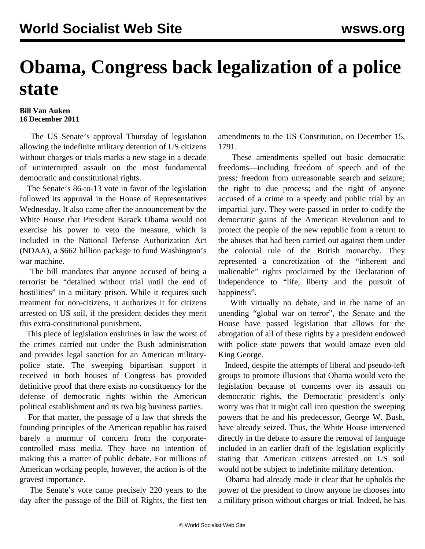## **Obama, Congress back legalization of a police state**

## **Bill Van Auken 16 December 2011**

 The US Senate's approval Thursday of legislation allowing the indefinite military detention of US citizens without charges or trials marks a new stage in a decade of uninterrupted assault on the most fundamental democratic and constitutional rights.

 The Senate's 86-to-13 vote in favor of the legislation followed its approval in the House of Representatives Wednesday. It also came after the announcement by the White House that President Barack Obama would not exercise his power to veto the measure, which is included in the National Defense Authorization Act (NDAA), a \$662 billion package to fund Washington's war machine.

 The bill mandates that anyone accused of being a terrorist be "detained without trial until the end of hostilities" in a military prison. While it requires such treatment for non-citizens, it authorizes it for citizens arrested on US soil, if the president decides they merit this extra-constitutional punishment.

 This piece of legislation enshrines in law the worst of the crimes carried out under the Bush administration and provides legal sanction for an American militarypolice state. The sweeping bipartisan support it received in both houses of Congress has provided definitive proof that there exists no constituency for the defense of democratic rights within the American political establishment and its two big business parties.

 For that matter, the passage of a law that shreds the founding principles of the American republic has raised barely a murmur of concern from the corporatecontrolled mass media. They have no intention of making this a matter of public debate. For millions of American working people, however, the action is of the gravest importance.

 The Senate's vote came precisely 220 years to the day after the passage of the Bill of Rights, the first ten amendments to the US Constitution, on December 15, 1791.

 These amendments spelled out basic democratic freedoms—including freedom of speech and of the press; freedom from unreasonable search and seizure; the right to due process; and the right of anyone accused of a crime to a speedy and public trial by an impartial jury. They were passed in order to codify the democratic gains of the American Revolution and to protect the people of the new republic from a return to the abuses that had been carried out against them under the colonial rule of the British monarchy. They represented a concretization of the "inherent and inalienable" rights proclaimed by the Declaration of Independence to "life, liberty and the pursuit of happiness".

 With virtually no debate, and in the name of an unending "global war on terror", the Senate and the House have passed legislation that allows for the abrogation of all of these rights by a president endowed with police state powers that would amaze even old King George.

 Indeed, despite the attempts of liberal and pseudo-left groups to promote illusions that Obama would veto the legislation because of concerns over its assault on democratic rights, the Democratic president's only worry was that it might call into question the sweeping powers that he and his predecessor, George W. Bush, have already seized. Thus, the White House intervened directly in the debate to assure the removal of language included in an earlier draft of the legislation explicitly stating that American citizens arrested on US soil would not be subject to indefinite military detention.

 Obama had already made it clear that he upholds the power of the president to throw anyone he chooses into a military prison without charges or trial. Indeed, he has